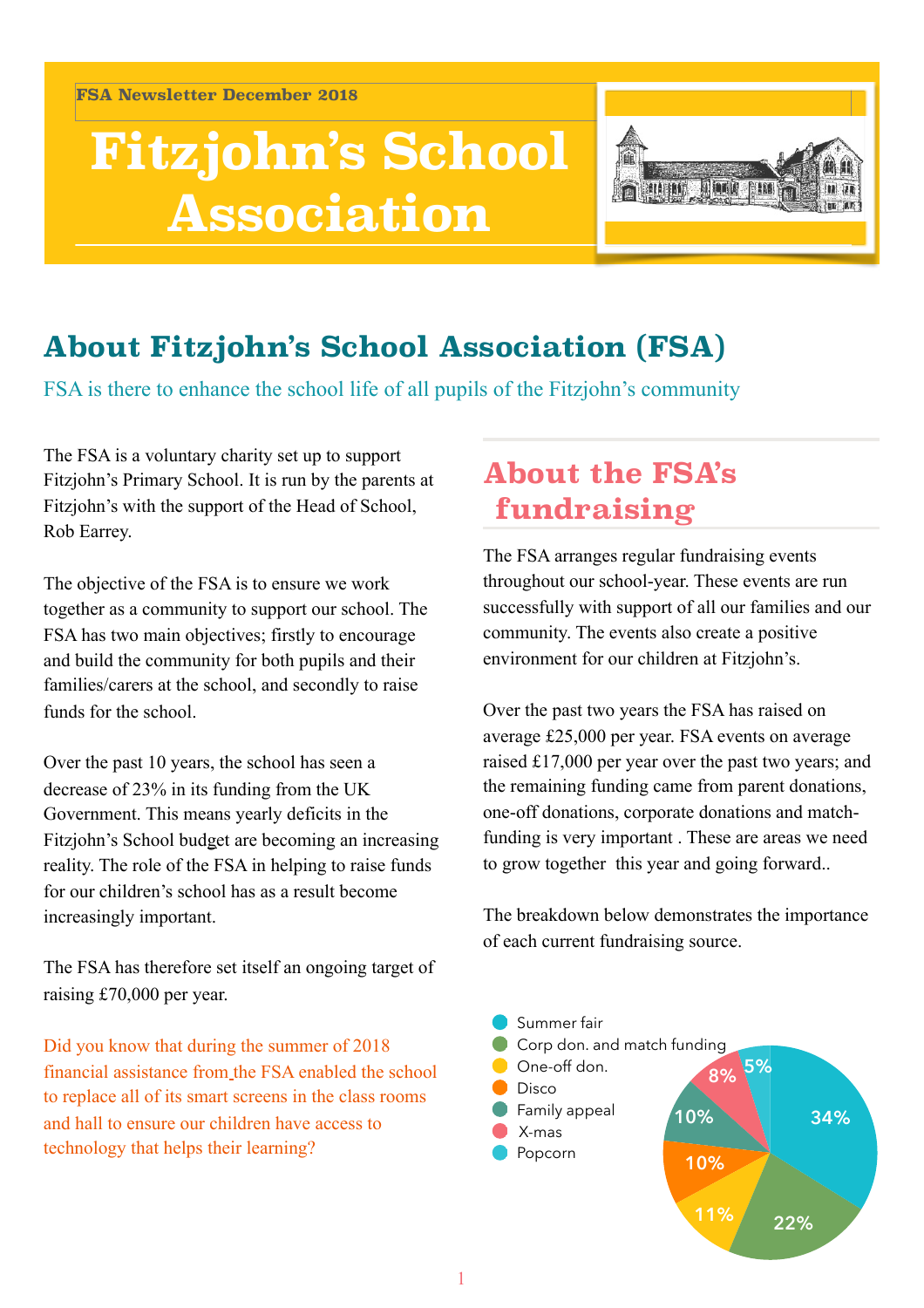**FSA Newsletter December 2018**

# **Fitzjohn's School Association**



# **About Fitzjohn's School Association (FSA)**

FSA is there to enhance the school life of all pupils of the Fitzjohn's community

The FSA is a voluntary charity set up to support Fitzjohn's Primary School. It is run by the parents at Fitzjohn's with the support of the Head of School, Rob Earrey.

The objective of the FSA is to ensure we work together as a community to support our school. The FSA has two main objectives; firstly to encourage and build the community for both pupils and their families/carers at the school, and secondly to raise funds for the school.

Over the past 10 years, the school has seen a decrease of 23% in its funding from the UK Government. This means yearly deficits in the Fitzjohn's School budget are becoming an increasing reality. The role of the FSA in helping to raise funds for our children's school has as a result become increasingly important.

The FSA has therefore set itself an ongoing target of raising £70,000 per year.

Did you know that during the summer of 2018 financial assistance from the FSA enabled the school to replace all of its smart screens in the class rooms and hall to ensure our children have access to technology that helps their learning?

# **About the FSA's fundraising**

The FSA arranges regular fundraising events throughout our school-year. These events are run successfully with support of all our families and our community. The events also create a positive environment for our children at Fitzjohn's.

Over the past two years the FSA has raised on average £25,000 per year. FSA events on average raised £17,000 per year over the past two years; and the remaining funding came from parent donations, one-off donations, corporate donations and matchfunding is very important . These are areas we need to grow together this year and going forward..

The breakdown below demonstrates the importance of each current fundraising source.

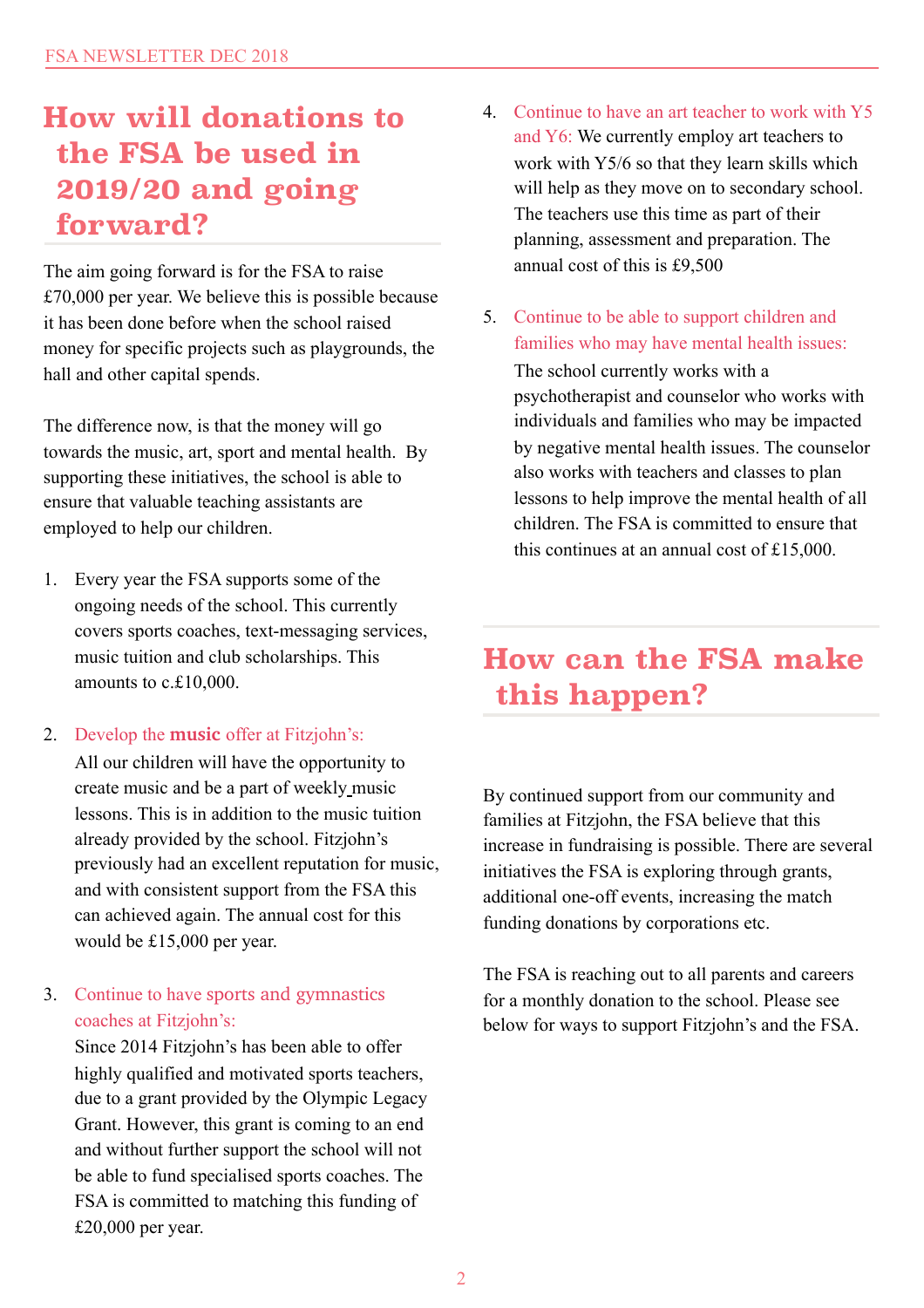# **How will donations to the FSA be used in 2019/20 and going forward?**

The aim going forward is for the FSA to raise £70,000 per year. We believe this is possible because it has been done before when the school raised money for specific projects such as playgrounds, the hall and other capital spends.

The difference now, is that the money will go towards the music, art, sport and mental health. By supporting these initiatives, the school is able to ensure that valuable teaching assistants are employed to help our children.

- 1. Every year the FSA supports some of the ongoing needs of the school. This currently covers sports coaches, text-messaging services, music tuition and club scholarships. This amounts to c.£10,000.
- 2. Develop the **music** offer at Fitzjohn's:

All our children will have the opportunity to create music and be a part of weekly music lessons. This is in addition to the music tuition already provided by the school. Fitzjohn's previously had an excellent reputation for music, and with consistent support from the FSA this can achieved again. The annual cost for this would be £15,000 per year.

#### 3. Continue to have sports and gymnastics coaches at Fitzjohn's:

Since 2014 Fitzjohn's has been able to offer highly qualified and motivated sports teachers, due to a grant provided by the Olympic Legacy Grant. However, this grant is coming to an end and without further support the school will not be able to fund specialised sports coaches. The FSA is committed to matching this funding of £20,000 per year.

- 4. Continue to have an art teacher to work with Y5 and Y6: We currently employ art teachers to work with Y5/6 so that they learn skills which will help as they move on to secondary school. The teachers use this time as part of their planning, assessment and preparation. The annual cost of this is £9,500
- 5. Continue to be able to support children and families who may have mental health issues:

The school currently works with a psychotherapist and counselor who works with individuals and families who may be impacted by negative mental health issues. The counselor also works with teachers and classes to plan lessons to help improve the mental health of all children. The FSA is committed to ensure that this continues at an annual cost of £15,000.

### **How can the FSA make this happen?**

By continued support from our community and families at Fitzjohn, the FSA believe that this increase in fundraising is possible. There are several initiatives the FSA is exploring through grants, additional one-off events, increasing the match funding donations by corporations etc.

The FSA is reaching out to all parents and careers for a monthly donation to the school. Please see below for ways to support Fitzjohn's and the FSA.